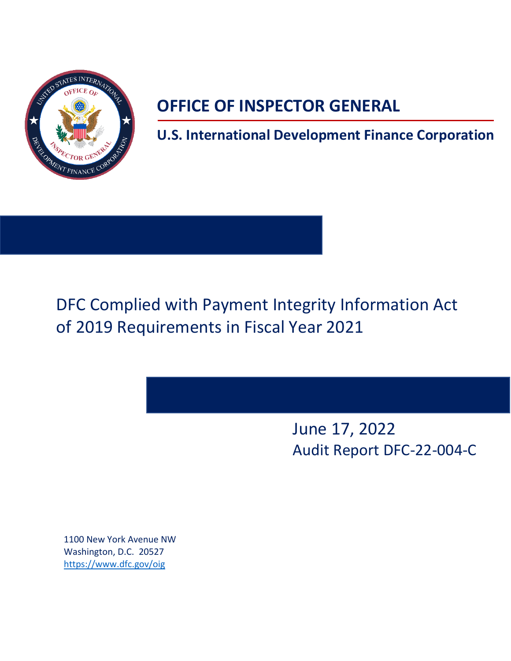

# **OFFICE OF INSPECTOR GENERAL**

**U.S. International Development Finance Corporation**

DFC Complied with Payment Integrity Information Act of 2019 Requirements in Fiscal Year 2021

> June 17, 2022 Audit Report DFC-22-004-C

1100 New York Avenue NW Washington, D.C. 20527 <https://www.dfc.gov/oig>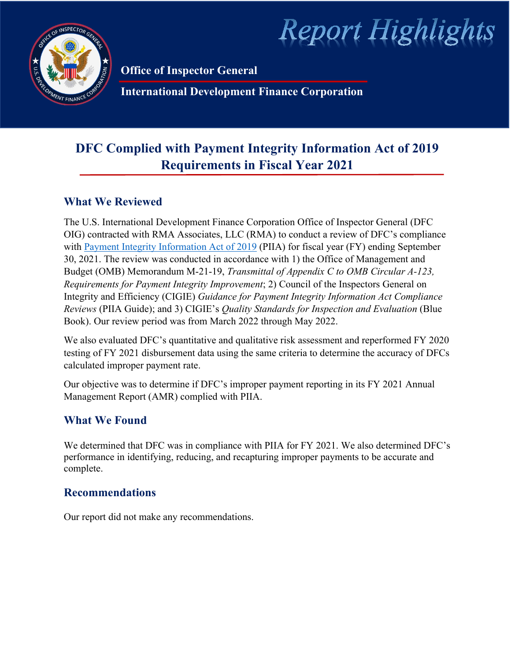

**Report Highlights** 

**Office of Inspector General**

**International Development Finance Corporation**

# **DFC Complied with Payment Integrity Information Act of 2019 Requirements in Fiscal Year 2021**

# **What We Reviewed**

The U.S. International Development Finance Corporation Office of Inspector General (DFC OIG) contracted with RMA Associates, LLC (RMA) to conduct a review of DFC's compliance with [Payment Integrity Information Act of 2019](https://www.congress.gov/116/bills/s375/BILLS-116s375enr.pdf) (PIIA) for fiscal year (FY) ending September 30, 2021. The review was conducted in accordance with 1) the Office of Management and Budget (OMB) Memorandum M-21-19, *Transmittal of Appendix C to OMB Circular A-123, Requirements for Payment Integrity Improvement*; 2) Council of the Inspectors General on Integrity and Efficiency (CIGIE) *Guidance for Payment Integrity Information Act Compliance Reviews* (PIIA Guide); and 3) CIGIE's *Quality Standards for Inspection and Evaluation* (Blue Book). Our review period was from March 2022 through May 2022.

We also evaluated DFC's quantitative and qualitative risk assessment and reperformed FY 2020 testing of FY 2021 disbursement data using the same criteria to determine the accuracy of DFCs calculated improper payment rate.

Our objective was to determine if DFC's improper payment reporting in its FY 2021 Annual Management Report (AMR) complied with PIIA.

# **What We Found**

We determined that DFC was in compliance with PIIA for FY 2021. We also determined DFC's performance in identifying, reducing, and recapturing improper payments to be accurate and complete.

## **Recommendations**

Our report did not make any recommendations.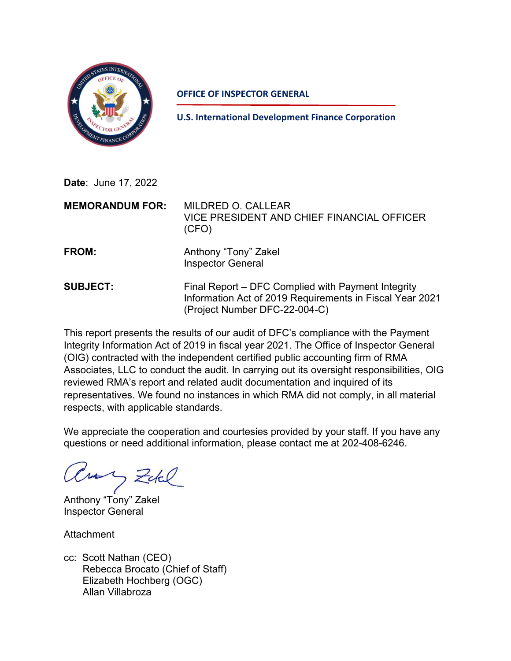

**OFFICE OF INSPECTOR GENERAL**

**U.S. International Development Finance Corporation**

**Date**: June 17, 2022

| <b>MEMORANDUM FOR:</b> | <b>MILDRED O. CALLEAR</b><br>VICE PRESIDENT AND CHIEF FINANCIAL OFFICER<br>(CFO)                                                                |
|------------------------|-------------------------------------------------------------------------------------------------------------------------------------------------|
| FROM:                  | Anthony "Tony" Zakel<br><b>Inspector General</b>                                                                                                |
| <b>SUBJECT:</b>        | Final Report – DFC Complied with Payment Integrity<br>Information Act of 2019 Requirements in Fiscal Year 2021<br>(Project Number DFC-22-004-C) |

This report presents the results of our audit of DFC's compliance with the Payment Integrity Information Act of 2019 in fiscal year 2021. The Office of Inspector General (OIG) contracted with the independent certified public accounting firm of RMA Associates, LLC to conduct the audit. In carrying out its oversight responsibilities, OIG reviewed RMA's report and related audit documentation and inquired of its representatives. We found no instances in which RMA did not comply, in all material respects, with applicable standards.

We appreciate the cooperation and courtesies provided by your staff. If you have any questions or need additional information, please contact me at 202-408-6246.

aus Zukl

Anthony "Tony" Zakel Inspector General

Attachment

cc: Scott Nathan (CEO) Rebecca Brocato (Chief of Staff) Elizabeth Hochberg (OGC) Allan Villabroza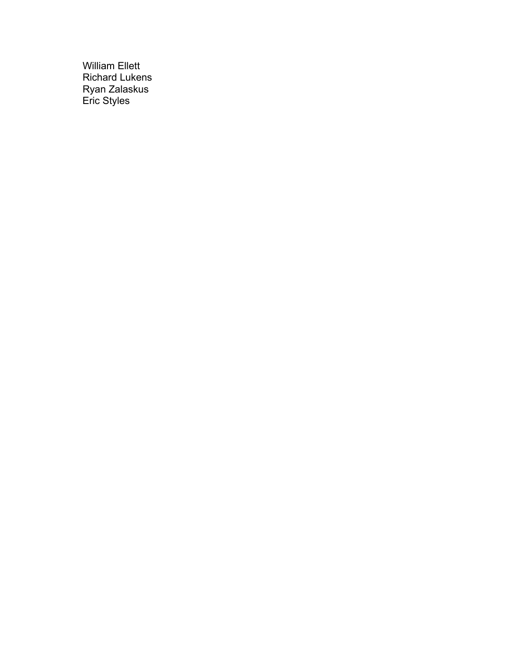William Ellett Richard Lukens Ryan Zalaskus Eric Styles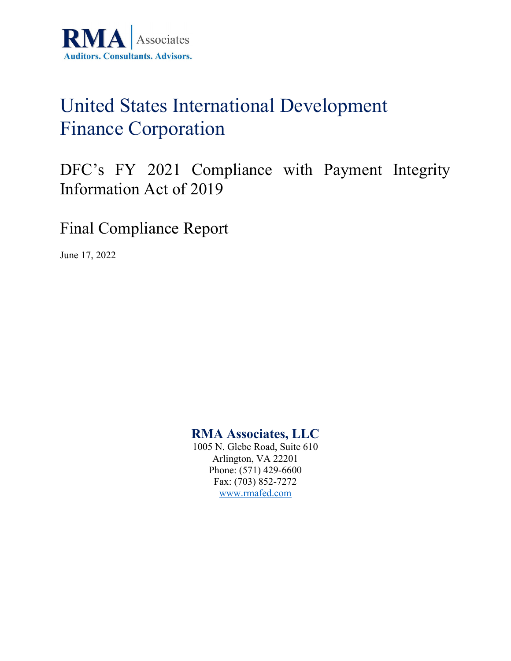

# United States International Development Finance Corporation

DFC's FY 2021 Compliance with Payment Integrity Information Act of 2019

Final Compliance Report

June 17, 2022

# **RMA Associates, LLC**

1005 N. Glebe Road, Suite 610 Arlington, VA 22201 Phone: (571) 429-6600 Fax: (703) 852-7272 [www.rmafed.com](http://www.rmafed.com/)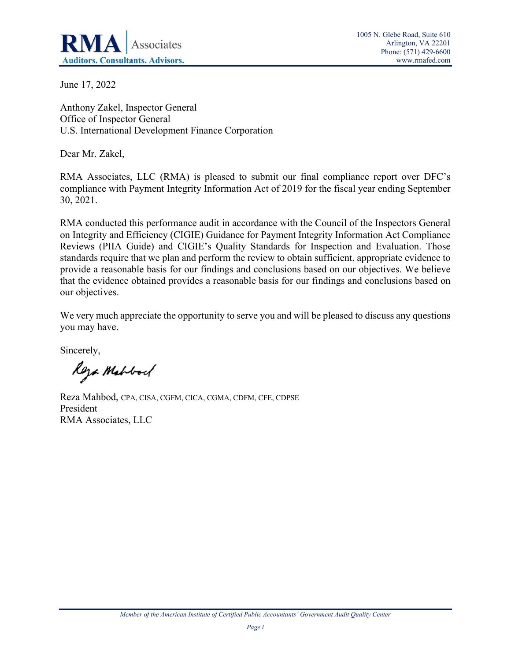

June 17, 2022

Anthony Zakel, Inspector General Office of Inspector General U.S. International Development Finance Corporation

Dear Mr. Zakel,

RMA Associates, LLC (RMA) is pleased to submit our final compliance report over DFC's compliance with Payment Integrity Information Act of 2019 for the fiscal year ending September 30, 2021.

RMA conducted this performance audit in accordance with the Council of the Inspectors General on Integrity and Efficiency (CIGIE) Guidance for Payment Integrity Information Act Compliance Reviews (PIIA Guide) and CIGIE's Quality Standards for Inspection and Evaluation. Those standards require that we plan and perform the review to obtain sufficient, appropriate evidence to provide a reasonable basis for our findings and conclusions based on our objectives. We believe that the evidence obtained provides a reasonable basis for our findings and conclusions based on our objectives.

We very much appreciate the opportunity to serve you and will be pleased to discuss any questions you may have.

Sincerely,

Roza Mahbod

Reza Mahbod, CPA, CISA, CGFM, CICA, CGMA, CDFM, CFE, CDPSE President RMA Associates, LLC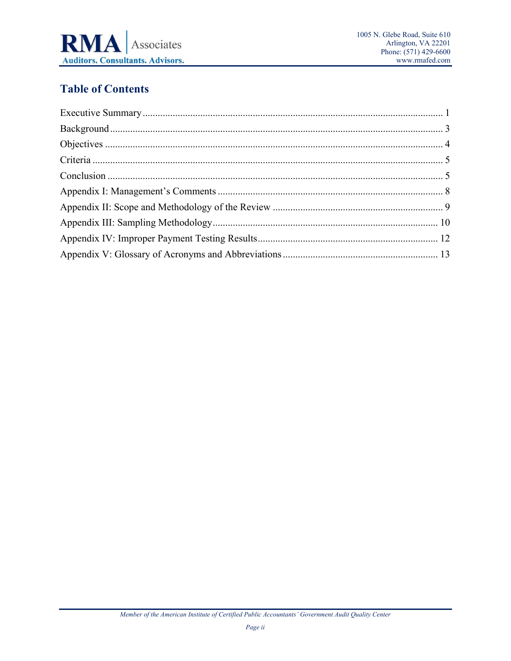

# **Table of Contents**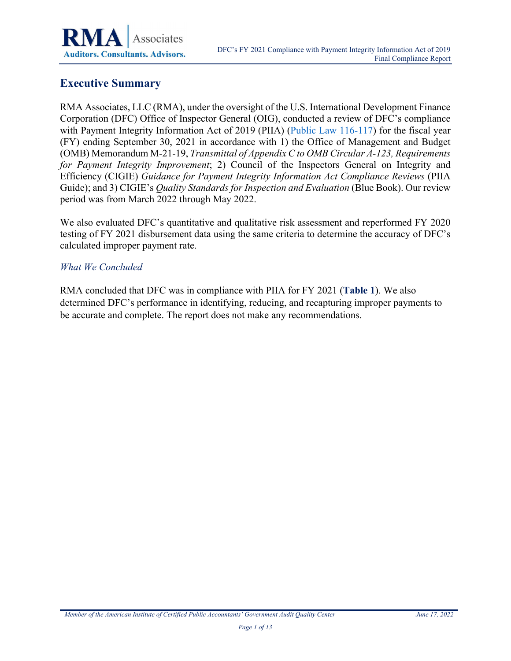# <span id="page-7-0"></span>**Executive Summary**

RMA Associates, LLC (RMA), under the oversight of the U.S. International Development Finance Corporation (DFC) Office of Inspector General (OIG), conducted a review of DFC's compliance with Payment Integrity Information Act of 2019 (PIIA) [\(Public Law 116-117\)](https://www.congress.gov/116/bills/s375/BILLS-116s375enr.pdf) for the fiscal year (FY) ending September 30, 2021 in accordance with 1) the Office of Management and Budget (OMB) Memorandum M-21-19, *Transmittal of Appendix C to OMB Circular A-123, Requirements for Payment Integrity Improvement*; 2) Council of the Inspectors General on Integrity and Efficiency (CIGIE) *Guidance for Payment Integrity Information Act Compliance Reviews* (PIIA Guide); and 3) CIGIE's *Quality Standards for Inspection and Evaluation* (Blue Book). Our review period was from March 2022 through May 2022.

We also evaluated DFC's quantitative and qualitative risk assessment and reperformed FY 2020 testing of FY 2021 disbursement data using the same criteria to determine the accuracy of DFC's calculated improper payment rate.

#### *What We Concluded*

RMA concluded that DFC was in compliance with PIIA for FY 2021 (**[Table 1](#page-8-0)**). We also determined DFC's performance in identifying, reducing, and recapturing improper payments to be accurate and complete. The report does not make any recommendations.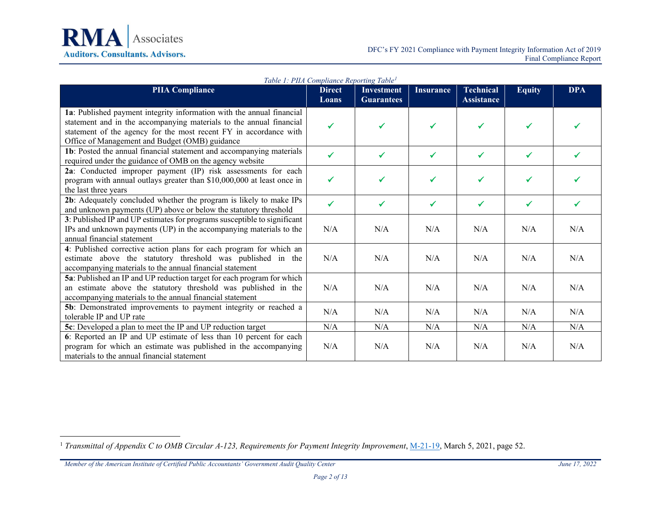

<span id="page-8-0"></span>

|                                                                          | <i>Lable 1: PIIA Compliance Reporting Lable</i> |                   |                  |                   |               |              |
|--------------------------------------------------------------------------|-------------------------------------------------|-------------------|------------------|-------------------|---------------|--------------|
| <b>PIIA Compliance</b>                                                   | <b>Direct</b>                                   | <b>Investment</b> | <b>Insurance</b> | <b>Technical</b>  | <b>Equity</b> | <b>DPA</b>   |
|                                                                          | Loans                                           | <b>Guarantees</b> |                  | <b>Assistance</b> |               |              |
| 1a: Published payment integrity information with the annual financial    |                                                 |                   |                  |                   |               |              |
| statement and in the accompanying materials to the annual financial      | ✓                                               | ✓                 |                  |                   |               |              |
| statement of the agency for the most recent FY in accordance with        |                                                 |                   |                  |                   |               |              |
| Office of Management and Budget (OMB) guidance                           |                                                 |                   |                  |                   |               |              |
| 1b: Posted the annual financial statement and accompanying materials     | ✔                                               | $\checkmark$      | ✔                | ✓                 | ✔             | ✔            |
| required under the guidance of OMB on the agency website                 |                                                 |                   |                  |                   |               |              |
| 2a: Conducted improper payment (IP) risk assessments for each            |                                                 |                   |                  |                   |               |              |
| program with annual outlays greater than \$10,000,000 at least once in   | ✓                                               | ✓                 | ✓                | ✓                 | ✔             | ✓            |
| the last three years                                                     |                                                 |                   |                  |                   |               |              |
| 2b: Adequately concluded whether the program is likely to make IPs       | $\checkmark$                                    | $\checkmark$      | $\checkmark$     | ✓                 | $\checkmark$  | $\checkmark$ |
| and unknown payments (UP) above or below the statutory threshold         |                                                 |                   |                  |                   |               |              |
| 3: Published IP and UP estimates for programs susceptible to significant |                                                 |                   |                  |                   |               |              |
| IPs and unknown payments (UP) in the accompanying materials to the       | N/A                                             | N/A               | N/A              | N/A               | N/A           | N/A          |
| annual financial statement                                               |                                                 |                   |                  |                   |               |              |
| 4: Published corrective action plans for each program for which an       |                                                 |                   |                  |                   |               |              |
| estimate above the statutory threshold was published in the              | N/A                                             | N/A               | N/A              | N/A               | N/A           | N/A          |
| accompanying materials to the annual financial statement                 |                                                 |                   |                  |                   |               |              |
| 5a: Published an IP and UP reduction target for each program for which   |                                                 |                   |                  |                   |               |              |
| an estimate above the statutory threshold was published in the           | N/A                                             | N/A               | N/A              | N/A               | N/A           | N/A          |
| accompanying materials to the annual financial statement                 |                                                 |                   |                  |                   |               |              |
| 5b: Demonstrated improvements to payment integrity or reached a          | N/A                                             | N/A               | N/A              | N/A               | N/A           | N/A          |
| tolerable IP and UP rate                                                 |                                                 |                   |                  |                   |               |              |
| 5c: Developed a plan to meet the IP and UP reduction target              | N/A                                             | N/A               | N/A              | N/A               | N/A           | N/A          |
| 6: Reported an IP and UP estimate of less than 10 percent for each       |                                                 |                   |                  |                   |               |              |
| program for which an estimate was published in the accompanying          | N/A                                             | N/A               | N/A              | N/A               | N/A           | N/A          |
| materials to the annual financial statement                              |                                                 |                   |                  |                   |               |              |

<span id="page-8-1"></span>*Table 1: PIIA Compliance Reporting Table[1](#page-8-1)*

<sup>&</sup>lt;sup>1</sup> *Transmittal of Appendix C to OMB Circular A-123, Requirements for Payment Integrity Improvement*, [M-21-19,](https://www.whitehouse.gov/wp-content/uploads/2021/03/M-21-19.pdf) March 5, 2021, page 52.

*Member of the American Institute of Certified Public Accountants' Government Audit Quality Center June 17, 2022*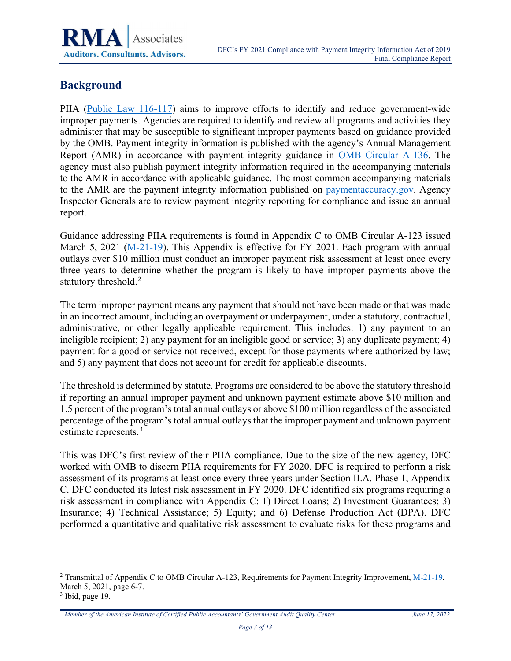

## <span id="page-9-0"></span>**Background**

PIIA [\(Public Law 116-117\)](https://www.congress.gov/116/bills/s375/BILLS-116s375enr.pdf) aims to improve efforts to identify and reduce government-wide improper payments. Agencies are required to identify and review all programs and activities they administer that may be susceptible to significant improper payments based on guidance provided by the OMB. Payment integrity information is published with the agency's Annual Management Report (AMR) in accordance with payment integrity guidance in [OMB Circular A-136.](https://www.whitehouse.gov/wp-content/uploads/2021/08/Circular-A-136.pdf) The agency must also publish payment integrity information required in the accompanying materials to the AMR in accordance with applicable guidance. The most common accompanying materials to the AMR are the payment integrity information published on [paymentaccuracy.gov.](https://www.paymentaccuracy.gov/) Agency Inspector Generals are to review payment integrity reporting for compliance and issue an annual report.

Guidance addressing PIIA requirements is found in Appendix C to OMB Circular A-123 issued March 5, 2021 [\(M-21-19\)](https://www.whitehouse.gov/wp-content/uploads/2021/03/M-21-19.pdf). This Appendix is effective for FY 2021. Each program with annual outlays over \$10 million must conduct an improper payment risk assessment at least once every three years to determine whether the program is likely to have improper payments above the statutory threshold.<sup>[2](#page-9-1)</sup>

The term improper payment means any payment that should not have been made or that was made in an incorrect amount, including an overpayment or underpayment, under a statutory, contractual, administrative, or other legally applicable requirement. This includes: 1) any payment to an ineligible recipient; 2) any payment for an ineligible good or service; 3) any duplicate payment; 4) payment for a good or service not received, except for those payments where authorized by law; and 5) any payment that does not account for credit for applicable discounts.

The threshold is determined by statute. Programs are considered to be above the statutory threshold if reporting an annual improper payment and unknown payment estimate above \$10 million and 1.5 percent of the program's total annual outlays or above \$100 million regardless of the associated percentage of the program's total annual outlays that the improper payment and unknown payment estimate represents.<sup>[3](#page-9-2)</sup>

This was DFC's first review of their PIIA compliance. Due to the size of the new agency, DFC worked with OMB to discern PIIA requirements for FY 2020. DFC is required to perform a risk assessment of its programs at least once every three years under Section II.A. Phase 1, Appendix C. DFC conducted its latest risk assessment in FY 2020. DFC identified six programs requiring a risk assessment in compliance with Appendix C: 1) Direct Loans; 2) Investment Guarantees; 3) Insurance; 4) Technical Assistance; 5) Equity; and 6) Defense Production Act (DPA). DFC performed a quantitative and qualitative risk assessment to evaluate risks for these programs and

<span id="page-9-1"></span><sup>2</sup> Transmittal of Appendix C to OMB Circular A-123, Requirements for Payment Integrity Improvement, [M-21-19,](https://www.whitehouse.gov/wp-content/uploads/2021/03/M-21-19.pdf) March 5, 2021, page 6-7.

<span id="page-9-2"></span> $3$  Ibid, page 19.

*Member of the American Institute of Certified Public Accountants' Government Audit Quality Center June 17, 2022*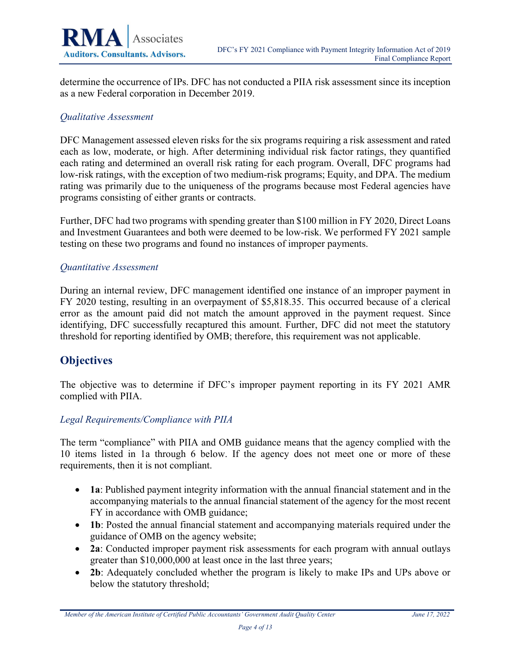

determine the occurrence of IPs. DFC has not conducted a PIIA risk assessment since its inception as a new Federal corporation in December 2019.

#### *Qualitative Assessment*

DFC Management assessed eleven risks for the six programs requiring a risk assessment and rated each as low, moderate, or high. After determining individual risk factor ratings, they quantified each rating and determined an overall risk rating for each program. Overall, DFC programs had low-risk ratings, with the exception of two medium-risk programs; Equity, and DPA. The medium rating was primarily due to the uniqueness of the programs because most Federal agencies have programs consisting of either grants or contracts.

Further, DFC had two programs with spending greater than \$100 million in FY 2020, Direct Loans and Investment Guarantees and both were deemed to be low-risk. We performed FY 2021 sample testing on these two programs and found no instances of improper payments.

#### *Quantitative Assessment*

During an internal review, DFC management identified one instance of an improper payment in FY 2020 testing, resulting in an overpayment of \$5,818.35. This occurred because of a clerical error as the amount paid did not match the amount approved in the payment request. Since identifying, DFC successfully recaptured this amount. Further, DFC did not meet the statutory threshold for reporting identified by OMB; therefore, this requirement was not applicable.

### <span id="page-10-0"></span>**Objectives**

The objective was to determine if DFC's improper payment reporting in its FY 2021 AMR complied with PIIA.

#### *Legal Requirements/Compliance with PIIA*

The term "compliance" with PIIA and OMB guidance means that the agency complied with the 10 items listed in 1a through 6 below. If the agency does not meet one or more of these requirements, then it is not compliant.

- **1a**: Published payment integrity information with the annual financial statement and in the accompanying materials to the annual financial statement of the agency for the most recent FY in accordance with OMB guidance;
- **1b**: Posted the annual financial statement and accompanying materials required under the guidance of OMB on the agency website;
- **2a**: Conducted improper payment risk assessments for each program with annual outlays greater than \$10,000,000 at least once in the last three years;
- **2b**: Adequately concluded whether the program is likely to make IPs and UPs above or below the statutory threshold;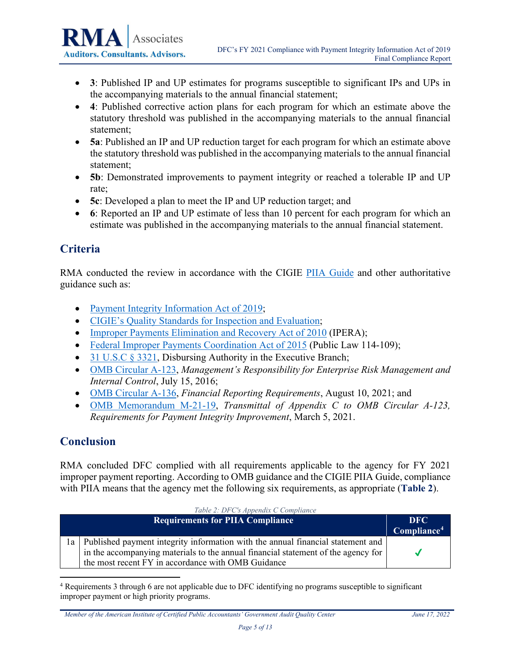- **3**: Published IP and UP estimates for programs susceptible to significant IPs and UPs in the accompanying materials to the annual financial statement;
- **4**: Published corrective action plans for each program for which an estimate above the statutory threshold was published in the accompanying materials to the annual financial statement;
- **5a**: Published an IP and UP reduction target for each program for which an estimate above the statutory threshold was published in the accompanying materials to the annual financial statement;
- **5b**: Demonstrated improvements to payment integrity or reached a tolerable IP and UP rate;
- **5c**: Developed a plan to meet the IP and UP reduction target; and
- **6**: Reported an IP and UP estimate of less than 10 percent for each program for which an estimate was published in the accompanying materials to the annual financial statement.

# <span id="page-11-0"></span>**Criteria**

RMA conducted the review in accordance with the CIGIE [PIIA Guide](https://ignet.gov/sites/default/files/files/GuidePIIAOIGComplianceReviews-Oct262021.pdf) and other authoritative guidance such as:

- [Payment Integrity Information Act of 2019;](https://www.congress.gov/116/bills/s375/BILLS-116s375enr.pdf)
- [CIGIE's Quality Standards for Inspection and Evaluation;](https://www.ignet.gov/sites/default/files/files/QualityStandardsforInspectionandEvaluation-2020.pdf)
- [Improper Payments Elimination and Recovery Act of 2010](https://www.govinfo.gov/content/pkg/PLAW-111publ204/pdf/PLAW-111publ204.pdf) (IPERA);
- [Federal Improper Payments Coordination Act of 2015](https://www.congress.gov/114/plaws/publ109/PLAW-114publ109.pdf) (Public Law 114-109);
- [31 U.S.C § 3321,](https://uscode.house.gov/view.xhtml?req=granuleid:USC-prelim-title31-section3321&num=0&edition=prelim) Disbursing Authority in the Executive Branch;
- [OMB Circular A-123,](https://www.whitehouse.gov/wp-content/uploads/legacy_drupal_files/omb/memoranda/2016/m-16-17.pdf) *Management's Responsibility for Enterprise Risk Management and Internal Control*, July 15, 2016;
- [OMB Circular A-136,](https://www.whitehouse.gov/wp-content/uploads/2021/08/Circular-A-136.pdf) *Financial Reporting Requirements*, August 10, 2021; and
- [OMB Memorandum M-21-19,](https://www.whitehouse.gov/wp-content/uploads/2021/03/M-21-19.pdf) *Transmittal of Appendix C to OMB Circular A-123, Requirements for Payment Integrity Improvement*, March 5, 2021.

### <span id="page-11-1"></span>**Conclusion**

RMA concluded DFC complied with all requirements applicable to the agency for FY 2021 improper payment reporting. According to OMB guidance and the CIGIE PIIA Guide, compliance with PIIA means that the agency met the following six requirements, as appropriate (**[Table 2](#page-11-2)**).

<span id="page-11-2"></span>

|     | Table 2: DFC's Appendix C Compliance                                              |                         |
|-----|-----------------------------------------------------------------------------------|-------------------------|
|     | <b>Requirements for PIIA Compliance</b>                                           | DFC.                    |
|     |                                                                                   | Compliance <sup>4</sup> |
| l a | Published payment integrity information with the annual financial statement and   |                         |
|     | in the accompanying materials to the annual financial statement of the agency for |                         |
|     | the most recent FY in accordance with OMB Guidance                                |                         |

<span id="page-11-3"></span><sup>4</sup> Requirements 3 through 6 are not applicable due to DFC identifying no programs susceptible to significant improper payment or high priority programs.

*Member of the American Institute of Certified Public Accountants' Government Audit Quality Center June 17, 2022*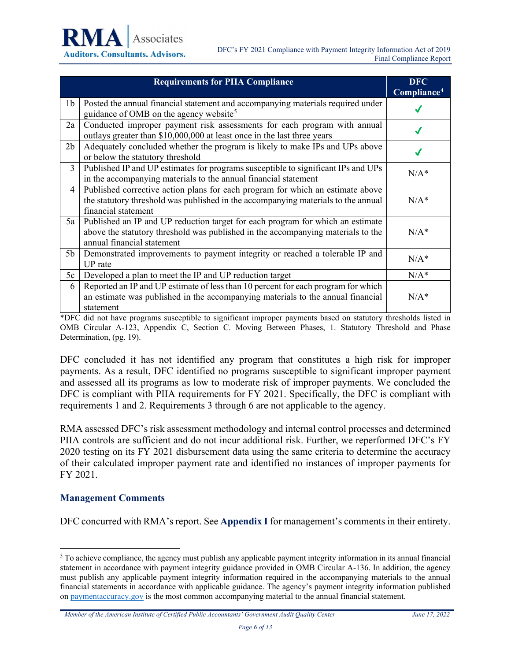|                | <b>Requirements for PIIA Compliance</b>                                                                                                                                                          | <b>DFC</b><br>Compliance <sup>4</sup> |
|----------------|--------------------------------------------------------------------------------------------------------------------------------------------------------------------------------------------------|---------------------------------------|
| 1 <sub>b</sub> | Posted the annual financial statement and accompanying materials required under<br>guidance of OMB on the agency website <sup>5</sup>                                                            |                                       |
| 2a             | Conducted improper payment risk assessments for each program with annual<br>outlays greater than \$10,000,000 at least once in the last three years                                              |                                       |
| 2 <sub>b</sub> | Adequately concluded whether the program is likely to make IPs and UPs above<br>or below the statutory threshold                                                                                 | √                                     |
| 3              | Published IP and UP estimates for programs susceptible to significant IPs and UPs<br>in the accompanying materials to the annual financial statement                                             | $N/A^*$                               |
| $\overline{4}$ | Published corrective action plans for each program for which an estimate above<br>the statutory threshold was published in the accompanying materials to the annual<br>financial statement       | $N/A^*$                               |
| 5a             | Published an IP and UP reduction target for each program for which an estimate<br>above the statutory threshold was published in the accompanying materials to the<br>annual financial statement | $N/A^*$                               |
| 5 <sub>b</sub> | Demonstrated improvements to payment integrity or reached a tolerable IP and<br>UP rate                                                                                                          | $N/A^*$                               |
| 5c             | Developed a plan to meet the IP and UP reduction target                                                                                                                                          | $N/A^*$                               |
| 6              | Reported an IP and UP estimate of less than 10 percent for each program for which<br>an estimate was published in the accompanying materials to the annual financial<br>statement                | $N/A^*$                               |

\*DFC did not have programs susceptible to significant improper payments based on statutory thresholds listed in OMB Circular A-123, Appendix C, Section C. Moving Between Phases, 1. Statutory Threshold and Phase Determination, (pg. 19).

DFC concluded it has not identified any program that constitutes a high risk for improper payments. As a result, DFC identified no programs susceptible to significant improper payment and assessed all its programs as low to moderate risk of improper payments. We concluded the DFC is compliant with PIIA requirements for FY 2021. Specifically, the DFC is compliant with requirements 1 and 2. Requirements 3 through 6 are not applicable to the agency.

RMA assessed DFC's risk assessment methodology and internal control processes and determined PIIA controls are sufficient and do not incur additional risk. Further, we reperformed DFC's FY 2020 testing on its FY 2021 disbursement data using the same criteria to determine the accuracy of their calculated improper payment rate and identified no instances of improper payments for FY 2021.

#### **Management Comments**

DFC concurred with RMA's report. See **Appendix I** for management's comments in their entirety.

*Member of the American Institute of Certified Public Accountants' Government Audit Quality Center June 17, 2022*

<span id="page-12-0"></span><sup>5</sup> To achieve compliance, the agency must publish any applicable payment integrity information in its annual financial statement in accordance with payment integrity guidance provided in OMB Circular A-136. In addition, the agency must publish any applicable payment integrity information required in the accompanying materials to the annual financial statements in accordance with applicable guidance. The agency's payment integrity information published o[n paymentaccuracy.gov](https://www.paymentaccuracy.gov/) is the most common accompanying material to the annual financial statement.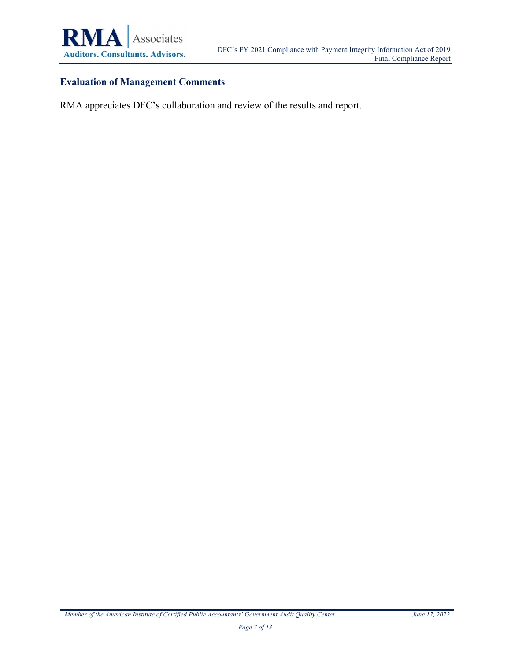

#### **Evaluation of Management Comments**

RMA appreciates DFC's collaboration and review of the results and report.

*Member of the American Institute of Certified Public Accountants' Government Audit Quality Center June 17, 2022*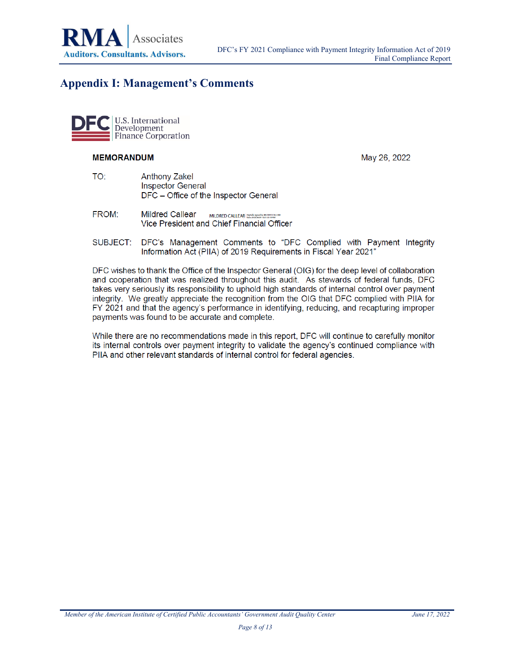

## <span id="page-14-0"></span>**Appendix I: Management's Comments**



#### **MEMORANDUM**

May 26, 2022

- TO: **Anthony Zakel Inspector General** DFC - Office of the Inspector General
- FROM: **Mildred Callear** MILDRED CALLEAR Date: 2022/06/09 12/21:53 GM00 Vice President and Chief Financial Officer
- SUBJECT: DFC's Management Comments to "DFC Complied with Payment Integrity Information Act (PIIA) of 2019 Requirements in Fiscal Year 2021"

DFC wishes to thank the Office of the Inspector General (OIG) for the deep level of collaboration and cooperation that was realized throughout this audit. As stewards of federal funds, DFC takes very seriously its responsibility to uphold high standards of internal control over payment integrity. We greatly appreciate the recognition from the OIG that DFC complied with PIIA for FY 2021 and that the agency's performance in identifying, reducing, and recapturing improper payments was found to be accurate and complete.

While there are no recommendations made in this report, DFC will continue to carefully monitor its internal controls over payment integrity to validate the agency's continued compliance with PIIA and other relevant standards of internal control for federal agencies.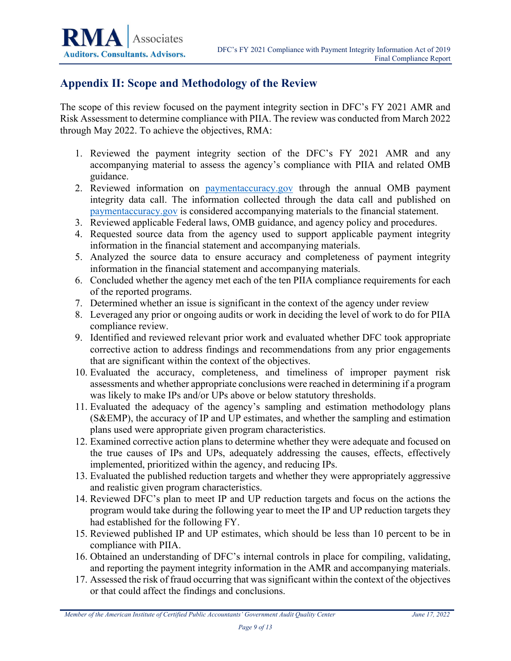## <span id="page-15-0"></span>**Appendix II: Scope and Methodology of the Review**

The scope of this review focused on the payment integrity section in DFC's FY 2021 AMR and Risk Assessment to determine compliance with PIIA. The review was conducted from March 2022 through May 2022. To achieve the objectives, RMA:

- 1. Reviewed the payment integrity section of the DFC's FY 2021 AMR and any accompanying material to assess the agency's compliance with PIIA and related OMB guidance.
- 2. Reviewed information on [paymentaccuracy.gov](https://www.paymentaccuracy.gov/) through the annual OMB payment integrity data call. The information collected through the data call and published on [paymentaccuracy.gov](https://www.paymentaccuracy.gov/) is considered accompanying materials to the financial statement.
- 3. Reviewed applicable Federal laws, OMB guidance, and agency policy and procedures.
- 4. Requested source data from the agency used to support applicable payment integrity information in the financial statement and accompanying materials.
- 5. Analyzed the source data to ensure accuracy and completeness of payment integrity information in the financial statement and accompanying materials.
- 6. Concluded whether the agency met each of the ten PIIA compliance requirements for each of the reported programs.
- 7. Determined whether an issue is significant in the context of the agency under review
- 8. Leveraged any prior or ongoing audits or work in deciding the level of work to do for PIIA compliance review.
- 9. Identified and reviewed relevant prior work and evaluated whether DFC took appropriate corrective action to address findings and recommendations from any prior engagements that are significant within the context of the objectives.
- 10. Evaluated the accuracy, completeness, and timeliness of improper payment risk assessments and whether appropriate conclusions were reached in determining if a program was likely to make IPs and/or UPs above or below statutory thresholds.
- 11. Evaluated the adequacy of the agency's sampling and estimation methodology plans (S&EMP), the accuracy of IP and UP estimates, and whether the sampling and estimation plans used were appropriate given program characteristics.
- 12. Examined corrective action plans to determine whether they were adequate and focused on the true causes of IPs and UPs, adequately addressing the causes, effects, effectively implemented, prioritized within the agency, and reducing IPs.
- 13. Evaluated the published reduction targets and whether they were appropriately aggressive and realistic given program characteristics.
- 14. Reviewed DFC's plan to meet IP and UP reduction targets and focus on the actions the program would take during the following year to meet the IP and UP reduction targets they had established for the following FY.
- 15. Reviewed published IP and UP estimates, which should be less than 10 percent to be in compliance with PIIA.
- 16. Obtained an understanding of DFC's internal controls in place for compiling, validating, and reporting the payment integrity information in the AMR and accompanying materials.
- 17. Assessed the risk of fraud occurring that was significant within the context of the objectives or that could affect the findings and conclusions.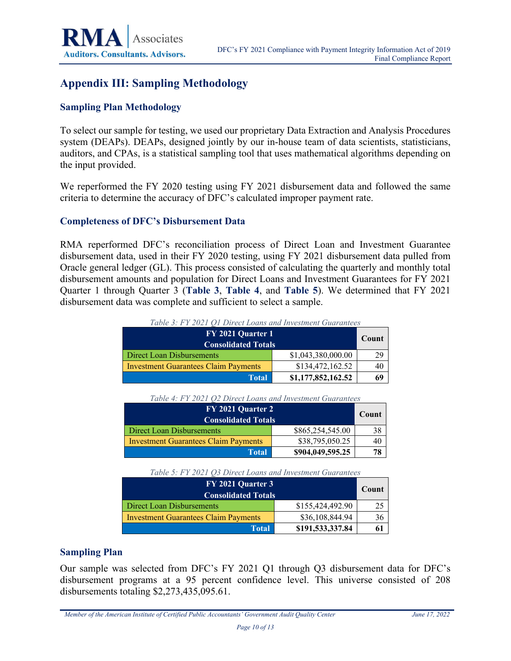# <span id="page-16-0"></span>**Appendix III: Sampling Methodology**

#### **Sampling Plan Methodology**

To select our sample for testing, we used our proprietary Data Extraction and Analysis Procedures system (DEAPs). DEAPs, designed jointly by our in-house team of data scientists, statisticians, auditors, and CPAs, is a statistical sampling tool that uses mathematical algorithms depending on the input provided.

We reperformed the FY 2020 testing using FY 2021 disbursement data and followed the same criteria to determine the accuracy of DFC's calculated improper payment rate.

#### **Completeness of DFC's Disbursement Data**

RMA reperformed DFC's reconciliation process of Direct Loan and Investment Guarantee disbursement data, used in their FY 2020 testing, using FY 2021 disbursement data pulled from Oracle general ledger (GL). This process consisted of calculating the quarterly and monthly total disbursement amounts and population for Direct Loans and Investment Guarantees for FY 2021 Quarter 1 through Quarter 3 (**[Table 3](#page-16-1)**, **[Table 4](#page-16-2)**, and **[Table 5](#page-16-3)**). We determined that FY 2021 disbursement data was complete and sufficient to select a sample.

<span id="page-16-1"></span>

| FY 2021 Quarter 1<br><b>Consolidated Totals</b> |                    |    |  |
|-------------------------------------------------|--------------------|----|--|
| \$1,043,380,000.00<br>Direct Loan Disbursements |                    |    |  |
| <b>Investment Guarantees Claim Payments</b>     | \$134,472,162.52   | 40 |  |
| Total                                           | \$1,177,852,162.52 | 69 |  |

*Table 3: FY 2021 Q1 Direct Loans and Investment Guarantees*

| Table 4: FY 2021 O2 Direct Loans and Investment Guarantees |  |
|------------------------------------------------------------|--|
|------------------------------------------------------------|--|

<span id="page-16-2"></span>

| FY 2021 Quarter 2<br><b>Consolidated Totals</b>                |                  |    |  |  |
|----------------------------------------------------------------|------------------|----|--|--|
| Direct Loan Disbursements                                      | \$865,254,545.00 | 38 |  |  |
| \$38,795,050.25<br><b>Investment Guarantees Claim Payments</b> |                  |    |  |  |
| Total                                                          | \$904,049,595.25 |    |  |  |

#### *Table 5: FY 2021 Q3 Direct Loans and Investment Guarantees*

<span id="page-16-3"></span>

| FY 2021 Quarter 3                           |                  |    |  |  |
|---------------------------------------------|------------------|----|--|--|
| <b>Consolidated Totals</b>                  |                  |    |  |  |
| Direct Loan Disbursements                   | \$155,424,492.90 |    |  |  |
| <b>Investment Guarantees Claim Payments</b> | \$36,108,844.94  | 36 |  |  |
| Total                                       | \$191,533,337.84 |    |  |  |

#### **Sampling Plan**

Our sample was selected from DFC's FY 2021 Q1 through Q3 disbursement data for DFC's disbursement programs at a 95 percent confidence level. This universe consisted of 208 disbursements totaling \$2,273,435,095.61.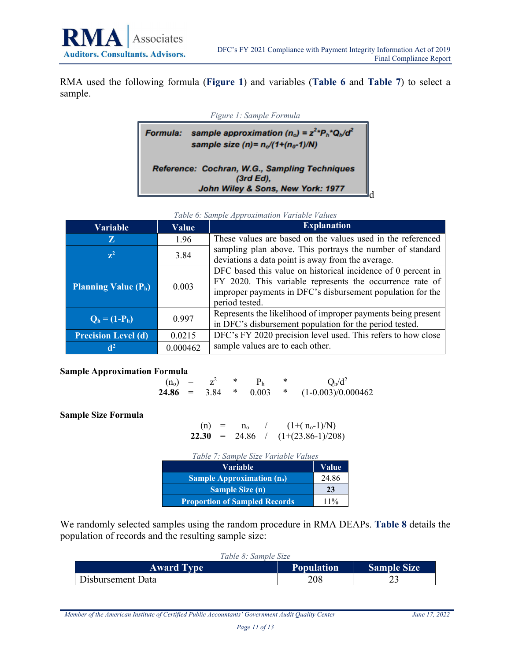<span id="page-17-0"></span>RMA used the following formula (**[Figure 1](#page-17-0)**) and variables (**[Table 6](#page-17-1)** and **[Table 7](#page-17-2)**) to select a sample.

| Figure 1: Sample Formula |                                                                                                                                          |  |  |  |
|--------------------------|------------------------------------------------------------------------------------------------------------------------------------------|--|--|--|
| <b>Formula:</b>          | sample approximation (n <sub>o</sub> ) = $z^{2*}P_h$ <sup>*</sup> Q <sub>h</sub> /d <sup>2</sup><br>sample size (n)= $n_o/(1+(n_o-1)/N)$ |  |  |  |
|                          | Reference: Cochran, W.G., Sampling Techniques<br>$(3rd Ed)$ ,<br>John Wiley & Sons, New York: 1977                                       |  |  |  |

*Table 6: Sample Approximation Variable Values*

<span id="page-17-1"></span>

| <b>Variable</b>            | Value    | <b>Explanation</b>                                                                                                                                                                                       |
|----------------------------|----------|----------------------------------------------------------------------------------------------------------------------------------------------------------------------------------------------------------|
| Z                          | 1.96     | These values are based on the values used in the referenced                                                                                                                                              |
| $\mathbf{z}^2$             | 3.84     | sampling plan above. This portrays the number of standard<br>deviations a data point is away from the average.                                                                                           |
| Planning Value $(P_h)$     | 0.003    | DFC based this value on historical incidence of 0 percent in<br>FY 2020. This variable represents the occurrence rate of<br>improper payments in DFC's disbursement population for the<br>period tested. |
| $Q_h = (1-P_h)$            | 0.997    | Represents the likelihood of improper payments being present<br>in DFC's disbursement population for the period tested.                                                                                  |
| <b>Precision Level (d)</b> | 0.0215   | DFC's FY 2020 precision level used. This refers to how close                                                                                                                                             |
|                            | 0.000462 | sample values are to each other.                                                                                                                                                                         |

#### **Sample Approximation Formula**

| $(n_0) =$ |      |       | $Q_h/d^2$            |
|-----------|------|-------|----------------------|
| $24.86 =$ | 3.84 | 0.003 | $(1-0.003)/0.000462$ |

<span id="page-17-2"></span>**Sample Size Formula**

| (n)   | $=$ | $n_{o}$ | $(1+(n_o-1)/N)$     |
|-------|-----|---------|---------------------|
| 22.30 | $=$ | 24.86   | $(1+(23.86-1)/208)$ |

| Table 7: Sample Size Variable Values |        |
|--------------------------------------|--------|
| Variable                             | Value  |
| Sample Approximation $(n_0)$         | 24.86  |
| <b>Sample Size (n)</b>               | 23     |
| <b>Proportion of Sampled Records</b> | $11\%$ |

We randomly selected samples using the random procedure in RMA DEAPs. **[Table 8](#page-17-3)** details the population of records and the resulting sample size:

<span id="page-17-3"></span>

| Table 8: Sample Size |                   |                    |  |  |
|----------------------|-------------------|--------------------|--|--|
| <b>Award Type</b>    | <b>Population</b> | <b>Sample Size</b> |  |  |
| Disbursement Data    | 208               |                    |  |  |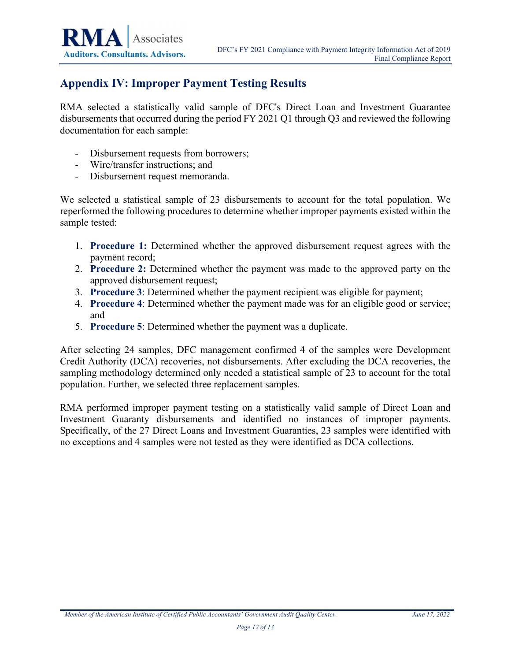# <span id="page-18-0"></span>**Appendix IV: Improper Payment Testing Results**

RMA selected a statistically valid sample of DFC's Direct Loan and Investment Guarantee disbursements that occurred during the period FY 2021 Q1 through Q3 and reviewed the following documentation for each sample:

- Disbursement requests from borrowers;
- Wire/transfer instructions; and
- Disbursement request memoranda.

We selected a statistical sample of 23 disbursements to account for the total population. We reperformed the following procedures to determine whether improper payments existed within the sample tested:

- 1. **Procedure 1:** Determined whether the approved disbursement request agrees with the payment record;
- 2. **Procedure 2:** Determined whether the payment was made to the approved party on the approved disbursement request;
- 3. **Procedure 3**: Determined whether the payment recipient was eligible for payment;
- 4. **Procedure 4**: Determined whether the payment made was for an eligible good or service; and
- 5. **Procedure 5**: Determined whether the payment was a duplicate.

After selecting 24 samples, DFC management confirmed 4 of the samples were Development Credit Authority (DCA) recoveries, not disbursements. After excluding the DCA recoveries, the sampling methodology determined only needed a statistical sample of 23 to account for the total population. Further, we selected three replacement samples.

RMA performed improper payment testing on a statistically valid sample of Direct Loan and Investment Guaranty disbursements and identified no instances of improper payments. Specifically, of the 27 Direct Loans and Investment Guaranties, 23 samples were identified with no exceptions and 4 samples were not tested as they were identified as DCA collections.